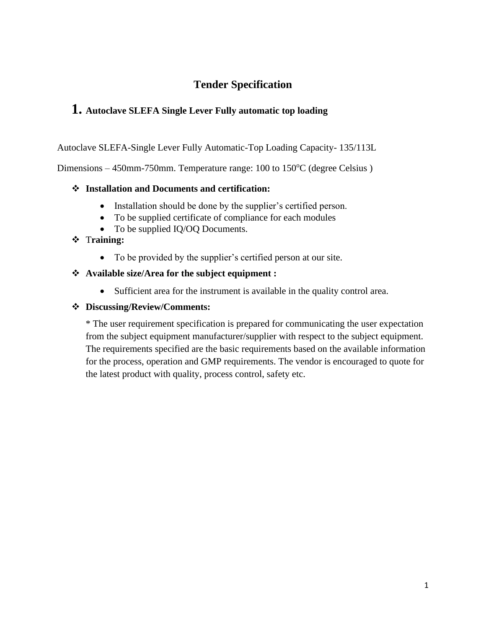### **Tender Specification**

### **1. Autoclave SLEFA Single Lever Fully automatic top loading**

Autoclave SLEFA-Single Lever Fully Automatic-Top Loading Capacity- 135/113L

Dimensions  $-450$ mm-750mm. Temperature range: 100 to 150 $^{\circ}$ C (degree Celsius)

#### ❖ **Installation and Documents and certification:**

- Installation should be done by the supplier's certified person.
- To be supplied certificate of compliance for each modules
- To be supplied IQ/OQ Documents.

#### ❖ T**raining:**

• To be provided by the supplier's certified person at our site.

#### ❖ **Available size/Area for the subject equipment :**

• Sufficient area for the instrument is available in the quality control area.

#### ❖ **Discussing/Review/Comments:**

\* The user requirement specification is prepared for communicating the user expectation from the subject equipment manufacturer/supplier with respect to the subject equipment. The requirements specified are the basic requirements based on the available information for the process, operation and GMP requirements. The vendor is encouraged to quote for the latest product with quality, process control, safety etc.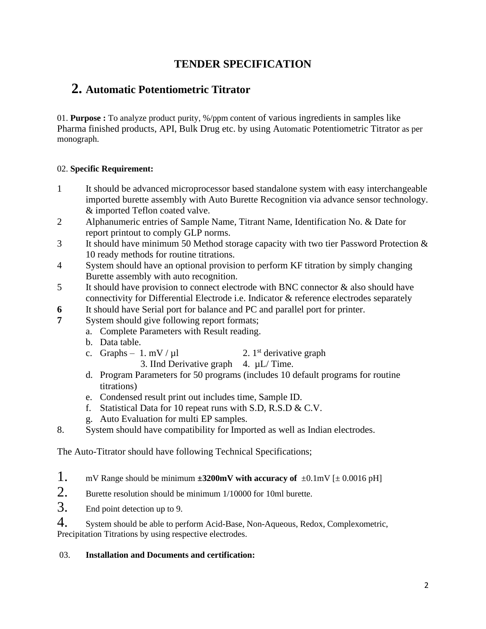### **TENDER SPECIFICATION**

### **2. Automatic Potentiometric Titrator**

01. **Purpose :** To analyze product purity, %/ppm content of various ingredients in samples like Pharma finished products, API, Bulk Drug etc. by using Automatic Potentiometric Titrator as per monograph.

#### 02. **Specific Requirement:**

- 1 It should be advanced microprocessor based standalone system with easy interchangeable imported burette assembly with Auto Burette Recognition via advance sensor technology. & imported Teflon coated valve.
- 2 Alphanumeric entries of Sample Name, Titrant Name, Identification No. & Date for report printout to comply GLP norms.
- 3 It should have minimum 50 Method storage capacity with two tier Password Protection & 10 ready methods for routine titrations.
- 4 System should have an optional provision to perform KF titration by simply changing Burette assembly with auto recognition.
- 5 It should have provision to connect electrode with BNC connector & also should have connectivity for Differential Electrode i.e. Indicator & reference electrodes separately
- **6** It should have Serial port for balance and PC and parallel port for printer.
- **7** System should give following report formats;
	- a. Complete Parameters with Result reading.
	- b. Data table.
	- c. Graphs 1. mV /  $\mu$ l 2. 1<sup>st</sup> derivative graph
		- 3. IInd Derivative graph  $4. \mu L/T$ ime.
	- d. Program Parameters for 50 programs (includes 10 default programs for routine titrations)
	- e. Condensed result print out includes time, Sample ID.
	- f. Statistical Data for 10 repeat runs with S.D, R.S.D & C.V.
	- g. Auto Evaluation for multi EP samples.
- 8. System should have compatibility for Imported as well as Indian electrodes.

The Auto-Titrator should have following Technical Specifications;

- 1. mV Range should be minimum  $\pm 3200$ mV with accuracy of  $\pm 0.1$ mV [ $\pm 0.0016$  pH]
- 2. Burette resolution should be minimum 1/10000 for 10ml burette.
- 3. End point detection up to 9.

4. System should be able to perform Acid-Base, Non-Aqueous, Redox, Complexometric, Precipitation Titrations by using respective electrodes.

#### 03. **Installation and Documents and certification:**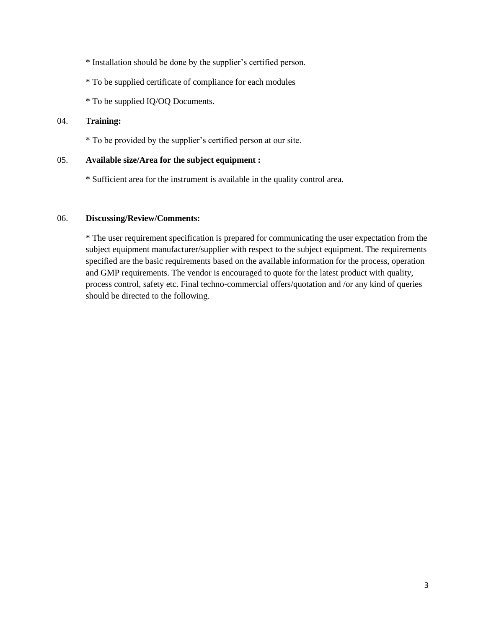\* Installation should be done by the supplier's certified person.

- \* To be supplied certificate of compliance for each modules
- \* To be supplied IQ/OQ Documents.

#### 04. T**raining:**

\* To be provided by the supplier's certified person at our site.

#### 05. **Available size/Area for the subject equipment :**

\* Sufficient area for the instrument is available in the quality control area.

#### 06. **Discussing/Review/Comments:**

\* The user requirement specification is prepared for communicating the user expectation from the subject equipment manufacturer/supplier with respect to the subject equipment. The requirements specified are the basic requirements based on the available information for the process, operation and GMP requirements. The vendor is encouraged to quote for the latest product with quality, process control, safety etc. Final techno-commercial offers/quotation and /or any kind of queries should be directed to the following.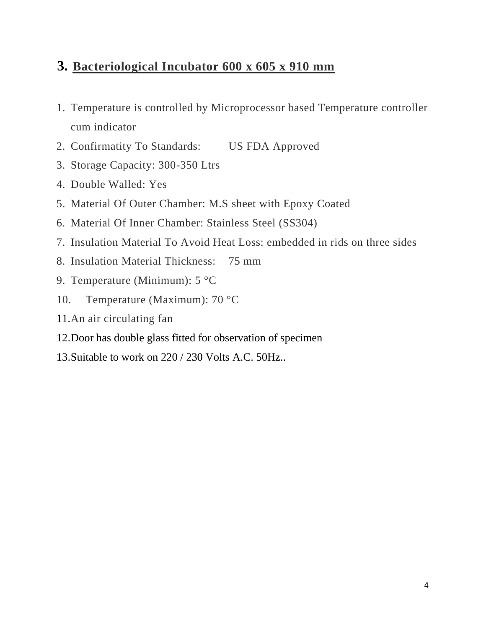## **3. Bacteriological Incubator 600 x 605 x 910 mm**

- 1. Temperature is controlled by Microprocessor based Temperature controller cum indicator
- 2. Confirmatity To Standards: US FDA Approved
- 3. Storage Capacity: 300-350 Ltrs
- 4. Double Walled: Yes
- 5. Material Of Outer Chamber: M.S sheet with Epoxy Coated
- 6. Material Of Inner Chamber: Stainless Steel (SS304)
- 7. Insulation Material To Avoid Heat Loss: embedded in rids on three sides
- 8. Insulation Material Thickness: 75 mm
- 9. Temperature (Minimum): 5 °C
- 10. Temperature (Maximum): 70 °C
- 11.An air circulating fan
- 12.Door has double glass fitted for observation of specimen
- 13.Suitable to work on 220 / 230 Volts A.C. 50Hz..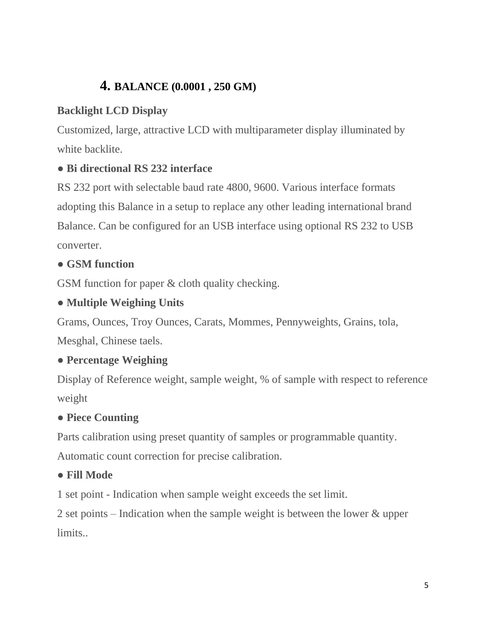# **4. BALANCE (0.0001 , 250 GM)**

## **Backlight LCD Display**

Customized, large, attractive LCD with multiparameter display illuminated by white backlite.

## ● **Bi directional RS 232 interface**

RS 232 port with selectable baud rate 4800, 9600. Various interface formats adopting this Balance in a setup to replace any other leading international brand Balance. Can be configured for an USB interface using optional RS 232 to USB converter.

## ● **GSM function**

GSM function for paper & cloth quality checking.

## ● **Multiple Weighing Units**

Grams, Ounces, Troy Ounces, Carats, Mommes, Pennyweights, Grains, tola,

Mesghal, Chinese taels.

## ● **Percentage Weighing**

Display of Reference weight, sample weight, % of sample with respect to reference weight

## ● **Piece Counting**

Parts calibration using preset quantity of samples or programmable quantity.

Automatic count correction for precise calibration.

## ● **Fill Mode**

1 set point - Indication when sample weight exceeds the set limit.

2 set points – Indication when the sample weight is between the lower & upper limits.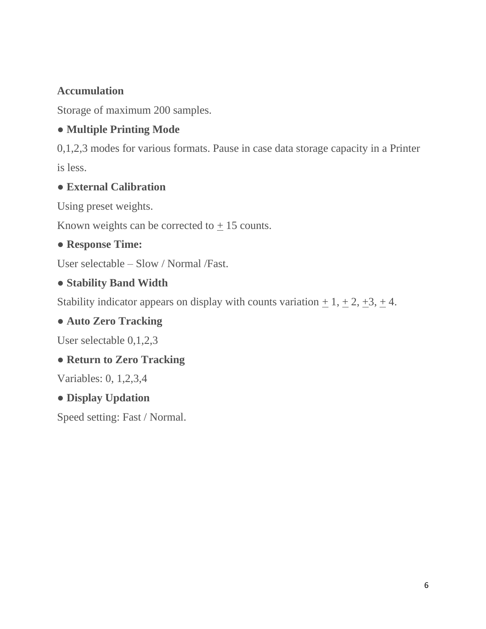## **Accumulation**

Storage of maximum 200 samples.

## ● **Multiple Printing Mode**

0,1,2,3 modes for various formats. Pause in case data storage capacity in a Printer is less.

## ● **External Calibration**

Using preset weights.

Known weights can be corrected to  $\pm$  15 counts.

## ● **Response Time:**

User selectable – Slow / Normal /Fast.

## ● **Stability Band Width**

Stability indicator appears on display with counts variation  $\pm 1, \pm 2, \pm 3, \pm 4$ .

## ● **Auto Zero Tracking**

User selectable 0,1,2,3

## ● **Return to Zero Tracking**

Variables: 0, 1,2,3,4

## ● **Display Updation**

Speed setting: Fast / Normal.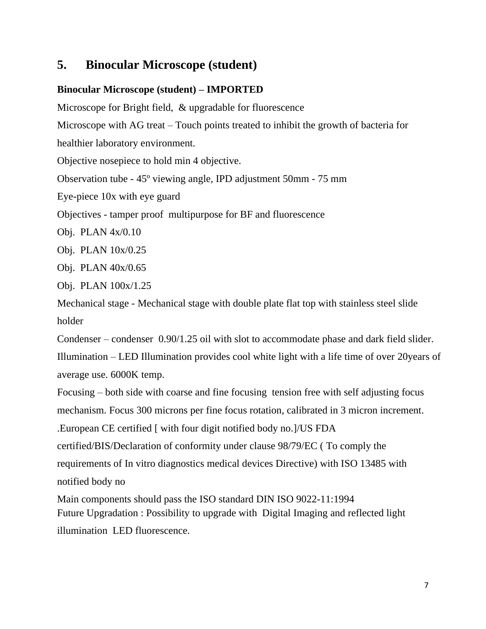## **5. Binocular Microscope (student)**

### **Binocular Microscope (student) – IMPORTED**

Microscope for Bright field, & upgradable for fluorescence Microscope with AG treat – Touch points treated to inhibit the growth of bacteria for healthier laboratory environment. Objective nosepiece to hold min 4 objective. Observation tube - 45º viewing angle, IPD adjustment 50mm - 75 mm

Eye-piece 10x with eye guard

Objectives - tamper proof multipurpose for BF and fluorescence

Obj. PLAN 4x/0.10

Obj. PLAN 10x/0.25

Obj. PLAN 40x/0.65

Obj. PLAN 100x/1.25

Mechanical stage - Mechanical stage with double plate flat top with stainless steel slide holder

Condenser – condenser 0.90/1.25 oil with slot to accommodate phase and dark field slider.

Illumination – LED Illumination provides cool white light with a life time of over 20years of average use. 6000K temp.

.European CE certified [ with four digit notified body no.]/US FDA certified/BIS/Declaration of conformity under clause 98/79/EC ( To comply the requirements of In vitro diagnostics medical devices Directive) with ISO 13485 with notified body no Focusing – both side with coarse and fine focusing tension free with self adjusting focus mechanism. Focus 300 microns per fine focus rotation, calibrated in 3 micron increment.

Main components should pass the ISO standard DIN ISO 9022-11:1994 Future Upgradation : Possibility to upgrade with Digital Imaging and reflected light illumination LED fluorescence.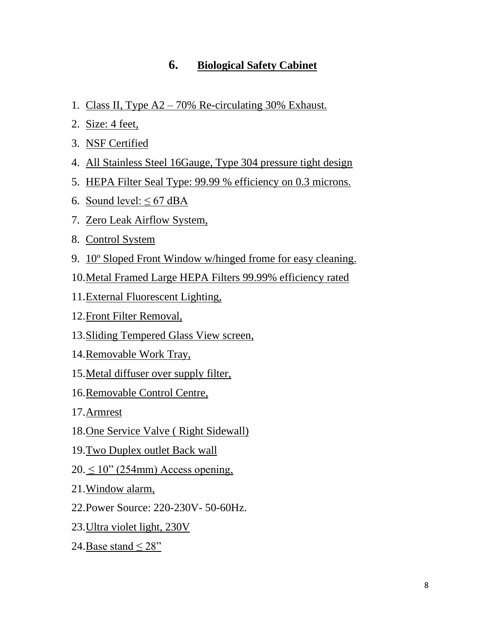### **6. Biological Safety Cabinet**

- 1. Class II, Type A2 70% Re-circulating 30% Exhaust.
- 2. Size: 4 feet,
- 3. NSF Certified
- 4. All Stainless Steel 16Gauge, Type 304 pressure tight design
- 5. HEPA Filter Seal Type: 99.99 % efficiency on 0.3 microns.
- 6. Sound level:  $\leq 67$  dBA
- 7. Zero Leak Airflow System,
- 8. Control System
- 9. 10º Sloped Front Window w/hinged frome for easy cleaning.
- 10.Metal Framed Large HEPA Filters 99.99% efficiency rated
- 11.External Fluorescent Lighting,
- 12.Front Filter Removal,
- 13.Sliding Tempered Glass View screen,
- 14.Removable Work Tray,
- 15.Metal diffuser over supply filter,
- 16.Removable Control Centre,
- 17.Armrest
- 18.One Service Valve ( Right Sidewall)
- 19.Two Duplex outlet Back wall
- $20 \le 10$ " (254mm) Access opening,
- 21.Window alarm,
- 22.Power Source: 220-230V- 50-60Hz.
- 23.Ultra violet light, 230V
- 24. Base stand  $\leq$  28"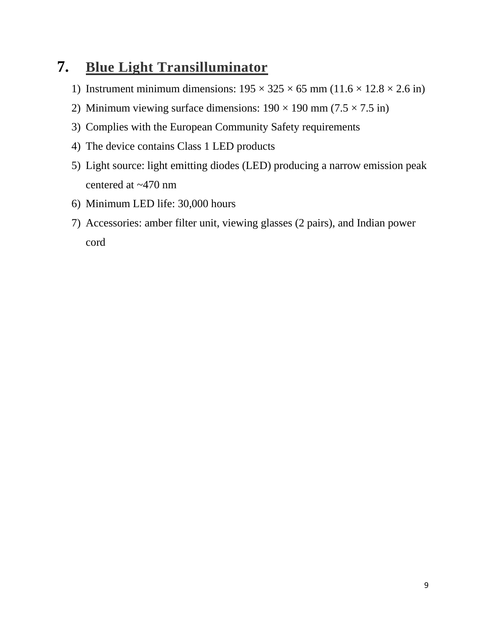# **7. Blue Light Transilluminator**

- 1) Instrument minimum dimensions:  $195 \times 325 \times 65$  mm  $(11.6 \times 12.8 \times 2.6$  in)
- 2) Minimum viewing surface dimensions:  $190 \times 190$  mm (7.5  $\times$  7.5 in)
- 3) Complies with the European Community Safety requirements
- 4) The device contains Class 1 LED products
- 5) Light source: light emitting diodes (LED) producing a narrow emission peak centered at ~470 nm
- 6) Minimum LED life: 30,000 hours
- 7) Accessories: amber filter unit, viewing glasses (2 pairs), and Indian power cord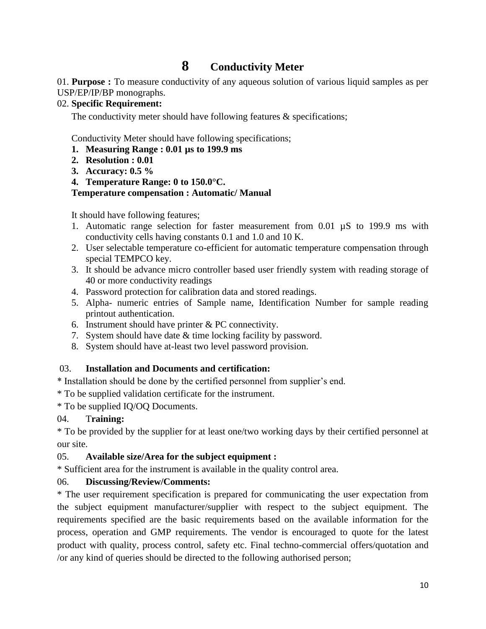## **8 Conductivity Meter**

01. **Purpose :** To measure conductivity of any aqueous solution of various liquid samples as per USP/EP/IP/BP monographs.

#### 02. **Specific Requirement:**

The conductivity meter should have following features & specifications;

Conductivity Meter should have following specifications;

- **1. Measuring Range : 0.01 µs to 199.9 ms**
- **2. Resolution : 0.01**
- **3. Accuracy: 0.5 %**

**4. Temperature Range: 0 to 150.0°C.**

#### **Temperature compensation : Automatic/ Manual**

It should have following features;

- 1. Automatic range selection for faster measurement from 0.01 µS to 199.9 ms with conductivity cells having constants 0.1 and 1.0 and 10 K.
- 2. User selectable temperature co-efficient for automatic temperature compensation through special TEMPCO key.
- 3. It should be advance micro controller based user friendly system with reading storage of 40 or more conductivity readings
- 4. Password protection for calibration data and stored readings.
- 5. Alpha- numeric entries of Sample name, Identification Number for sample reading printout authentication.
- 6. Instrument should have printer  $& PC$  connectivity.
- 7. System should have date & time locking facility by password.
- 8. System should have at-least two level password provision.

### 03. **Installation and Documents and certification:**

\* Installation should be done by the certified personnel from supplier's end.

- \* To be supplied validation certificate for the instrument.
- \* To be supplied IQ/OQ Documents.

### 04. T**raining:**

\* To be provided by the supplier for at least one/two working days by their certified personnel at our site.

### 05. **Available size/Area for the subject equipment :**

\* Sufficient area for the instrument is available in the quality control area.

### 06. **Discussing/Review/Comments:**

\* The user requirement specification is prepared for communicating the user expectation from the subject equipment manufacturer/supplier with respect to the subject equipment. The requirements specified are the basic requirements based on the available information for the process, operation and GMP requirements. The vendor is encouraged to quote for the latest product with quality, process control, safety etc. Final techno-commercial offers/quotation and /or any kind of queries should be directed to the following authorised person;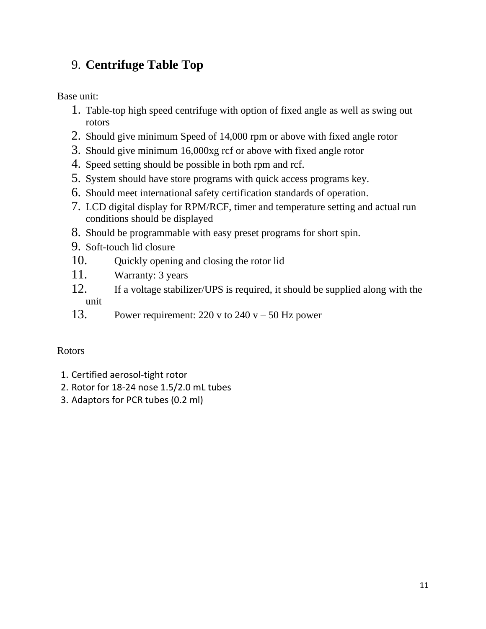# 9. **Centrifuge Table Top**

Base unit:

- 1. Table-top high speed centrifuge with option of fixed angle as well as swing out rotors
- 2. Should give minimum Speed of 14,000 rpm or above with fixed angle rotor
- 3. Should give minimum 16,000xg rcf or above with fixed angle rotor
- 4. Speed setting should be possible in both rpm and rcf.
- 5. System should have store programs with quick access programs key.
- 6. Should meet international safety certification standards of operation.
- 7. LCD digital display for RPM/RCF, timer and temperature setting and actual run conditions should be displayed
- 8. Should be programmable with easy preset programs for short spin.
- 9. Soft-touch lid closure
- 10. Quickly opening and closing the rotor lid
- 11. Warranty: 3 years
- 12. If a voltage stabilizer/UPS is required, it should be supplied along with the unit
- 13. Power requirement:  $220 v$  to  $240 v 50$  Hz power

### Rotors

- 1. Certified aerosol-tight rotor
- 2. Rotor for 18-24 nose 1.5/2.0 mL tubes
- 3. Adaptors for PCR tubes (0.2 ml)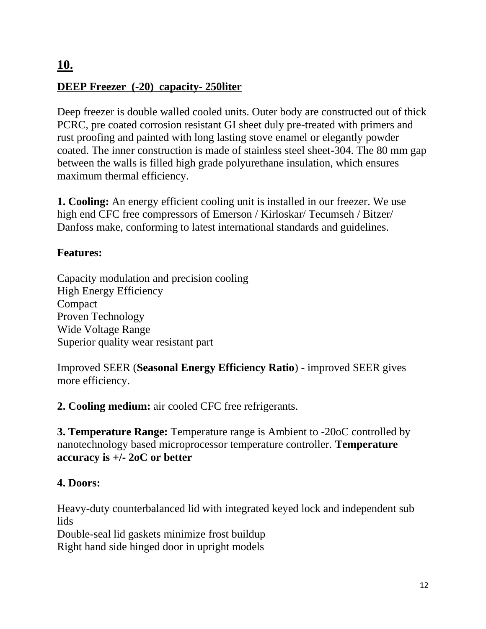# **10. DEEP Freezer (-20) capacity- 250liter**

Deep freezer is double walled cooled units. Outer body are constructed out of thick PCRC, pre coated corrosion resistant GI sheet duly pre-treated with primers and rust proofing and painted with long lasting stove enamel or elegantly powder coated. The inner construction is made of stainless steel sheet-304. The 80 mm gap between the walls is filled high grade polyurethane insulation, which ensures maximum thermal efficiency.

**1. Cooling:** An energy efficient cooling unit is installed in our freezer. We use high end CFC free compressors of Emerson / Kirloskar/ Tecumseh / Bitzer/ Danfoss make, conforming to latest international standards and guidelines.

### **Features:**

Capacity modulation and precision cooling High Energy Efficiency Compact Proven Technology Wide Voltage Range Superior quality wear resistant part

Improved SEER (**Seasonal Energy Efficiency Ratio**) - improved SEER gives more efficiency.

**2. Cooling medium:** air cooled CFC free refrigerants.

**3. Temperature Range:** Temperature range is Ambient to -20oC controlled by nanotechnology based microprocessor temperature controller. **Temperature accuracy is +/- 2oC or better** 

### **4. Doors:**

Heavy-duty counterbalanced lid with integrated keyed lock and independent sub lids

Double-seal lid gaskets minimize frost buildup Right hand side hinged door in upright models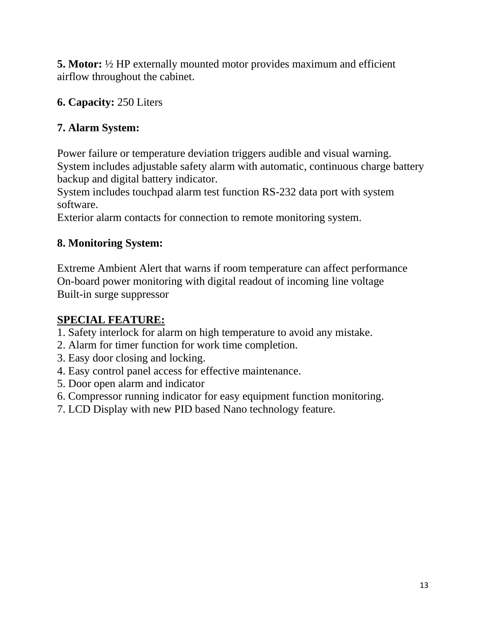**5. Motor:** ½ HP externally mounted motor provides maximum and efficient airflow throughout the cabinet.

### **6. Capacity:** 250 Liters

## **7. Alarm System:**

Power failure or temperature deviation triggers audible and visual warning. System includes adjustable safety alarm with automatic, continuous charge battery backup and digital battery indicator.

System includes touchpad alarm test function RS-232 data port with system software.

Exterior alarm contacts for connection to remote monitoring system.

## **8. Monitoring System:**

Extreme Ambient Alert that warns if room temperature can affect performance On-board power monitoring with digital readout of incoming line voltage Built-in surge suppressor

## **SPECIAL FEATURE:**

- 1. Safety interlock for alarm on high temperature to avoid any mistake.
- 2. Alarm for timer function for work time completion.
- 3. Easy door closing and locking.
- 4. Easy control panel access for effective maintenance.
- 5. Door open alarm and indicator
- 6. Compressor running indicator for easy equipment function monitoring.
- 7. LCD Display with new PID based Nano technology feature.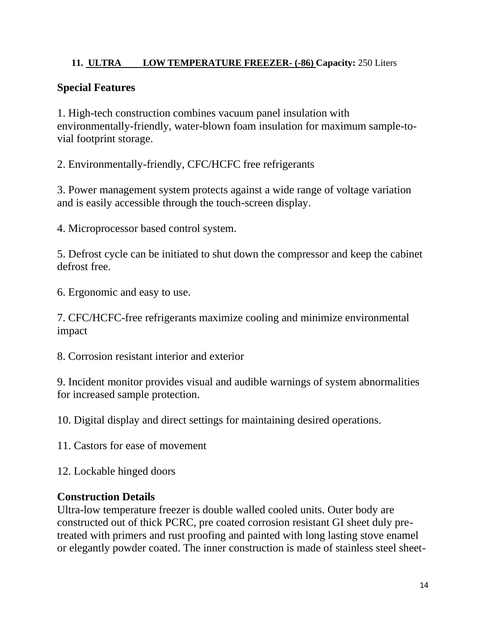### **11. ULTRA LOW TEMPERATURE FREEZER- (-86) Capacity:** 250 Liters

### **Special Features**

1. High-tech construction combines vacuum panel insulation with environmentally-friendly, water-blown foam insulation for maximum sample-tovial footprint storage.

2. Environmentally-friendly, CFC/HCFC free refrigerants

3. Power management system protects against a wide range of voltage variation and is easily accessible through the touch-screen display.

4. Microprocessor based control system.

5. Defrost cycle can be initiated to shut down the compressor and keep the cabinet defrost free.

6. Ergonomic and easy to use.

7. CFC/HCFC-free refrigerants maximize cooling and minimize environmental impact

8. Corrosion resistant interior and exterior

9. Incident monitor provides visual and audible warnings of system abnormalities for increased sample protection.

10. Digital display and direct settings for maintaining desired operations.

11. Castors for ease of movement

12. Lockable hinged doors

### **Construction Details**

Ultra-low temperature freezer is double walled cooled units. Outer body are constructed out of thick PCRC, pre coated corrosion resistant GI sheet duly pretreated with primers and rust proofing and painted with long lasting stove enamel or elegantly powder coated. The inner construction is made of stainless steel sheet-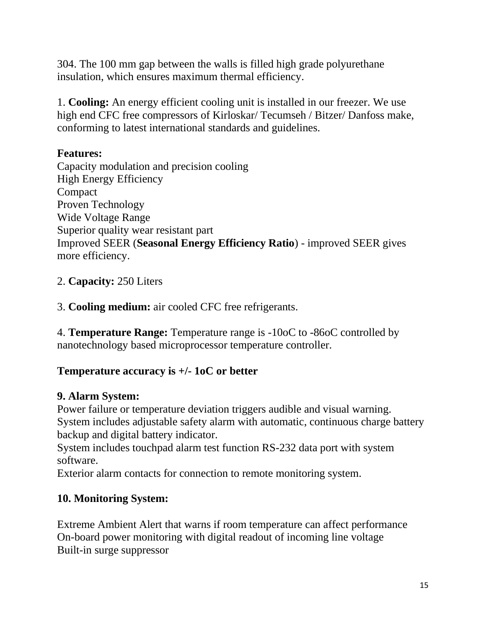304. The 100 mm gap between the walls is filled high grade polyurethane insulation, which ensures maximum thermal efficiency.

1. **Cooling:** An energy efficient cooling unit is installed in our freezer. We use high end CFC free compressors of Kirloskar/ Tecumseh / Bitzer/ Danfoss make, conforming to latest international standards and guidelines.

### **Features:**

Capacity modulation and precision cooling High Energy Efficiency Compact Proven Technology Wide Voltage Range Superior quality wear resistant part Improved SEER (**Seasonal Energy Efficiency Ratio**) - improved SEER gives more efficiency.

### 2. **Capacity:** 250 Liters

3. **Cooling medium:** air cooled CFC free refrigerants.

4. **Temperature Range:** Temperature range is -10oC to -86oC controlled by nanotechnology based microprocessor temperature controller.

### **Temperature accuracy is +/- 1oC or better**

### **9. Alarm System:**

Power failure or temperature deviation triggers audible and visual warning. System includes adjustable safety alarm with automatic, continuous charge battery backup and digital battery indicator.

System includes touchpad alarm test function RS-232 data port with system software.

Exterior alarm contacts for connection to remote monitoring system.

### **10. Monitoring System:**

Extreme Ambient Alert that warns if room temperature can affect performance On-board power monitoring with digital readout of incoming line voltage Built-in surge suppressor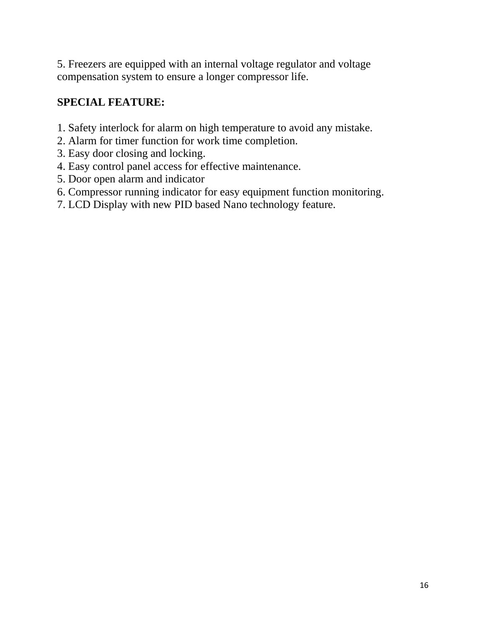5. Freezers are equipped with an internal voltage regulator and voltage compensation system to ensure a longer compressor life.

### **SPECIAL FEATURE:**

- 1. Safety interlock for alarm on high temperature to avoid any mistake.
- 2. Alarm for timer function for work time completion.
- 3. Easy door closing and locking.
- 4. Easy control panel access for effective maintenance.
- 5. Door open alarm and indicator
- 6. Compressor running indicator for easy equipment function monitoring.
- 7. LCD Display with new PID based Nano technology feature.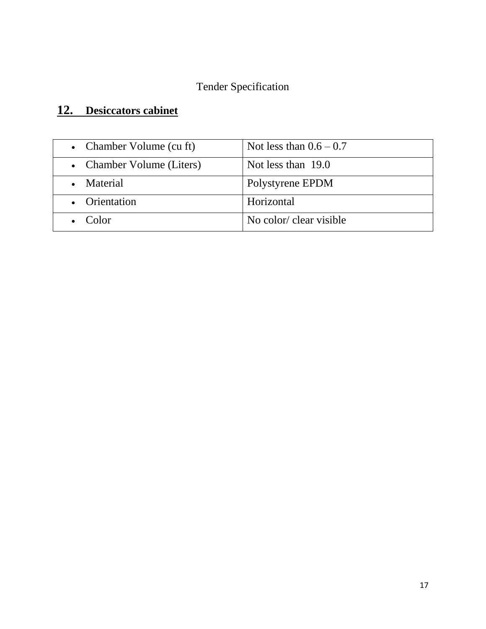# Tender Specification

# **12. Desiccators cabinet**

| • Chamber Volume (cu ft)  | Not less than $0.6 - 0.7$ |
|---------------------------|---------------------------|
| • Chamber Volume (Liters) | Not less than $19.0$      |
| • Material                | Polystyrene EPDM          |
| • Orientation             | Horizontal                |
| $\bullet$ Color           | No color/ clear visible   |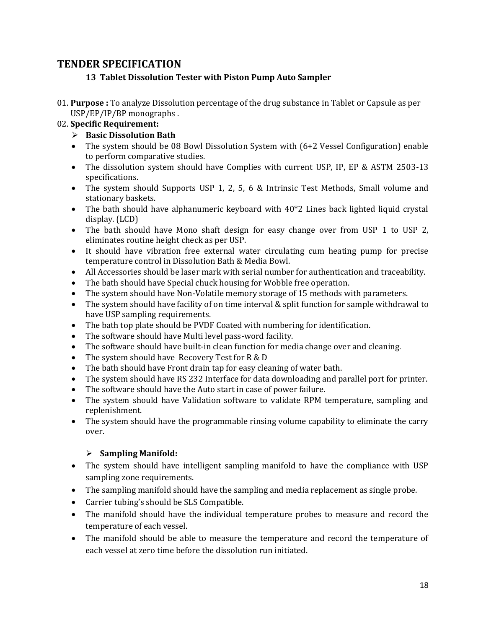### **TENDER SPECIFICATION**

#### **13 Tablet Dissolution Tester with Piston Pump Auto Sampler**

01. **Purpose :** To analyze Dissolution percentage of the drug substance in Tablet or Capsule as per USP/EP/IP/BP monographs .

#### 02. **Specific Requirement:**

- ➢ **Basic Dissolution Bath**
- The system should be 08 Bowl Dissolution System with (6+2 Vessel Configuration) enable to perform comparative studies.
- The dissolution system should have Complies with current USP, IP, EP & ASTM 2503-13 specifications.
- The system should Supports USP 1, 2, 5, 6 & Intrinsic Test Methods, Small volume and stationary baskets.
- The bath should have alphanumeric keyboard with 40\*2 Lines back lighted liquid crystal display. (LCD)
- The bath should have Mono shaft design for easy change over from USP 1 to USP 2, eliminates routine height check as per USP.
- It should have vibration free external water circulating cum heating pump for precise temperature control in Dissolution Bath & Media Bowl.
- All Accessories should be laser mark with serial number for authentication and traceability.
- The bath should have Special chuck housing for Wobble free operation.
- The system should have Non-Volatile memory storage of 15 methods with parameters.
- The system should have facility of on time interval & split function for sample withdrawal to have USP sampling requirements.
- The bath top plate should be PVDF Coated with numbering for identification.
- The software should have Multi level pass-word facility.
- The software should have built-in clean function for media change over and cleaning.
- The system should have Recovery Test for R & D
- The bath should have Front drain tap for easy cleaning of water bath.
- The system should have RS 232 Interface for data downloading and parallel port for printer.
- The software should have the Auto start in case of power failure.
- The system should have Validation software to validate RPM temperature, sampling and replenishment.
- The system should have the programmable rinsing volume capability to eliminate the carry over.

#### ➢ **Sampling Manifold:**

- The system should have intelligent sampling manifold to have the compliance with USP sampling zone requirements.
- The sampling manifold should have the sampling and media replacement as single probe.
- Carrier tubing's should be SLS Compatible.
- The manifold should have the individual temperature probes to measure and record the temperature of each vessel.
- The manifold should be able to measure the temperature and record the temperature of each vessel at zero time before the dissolution run initiated.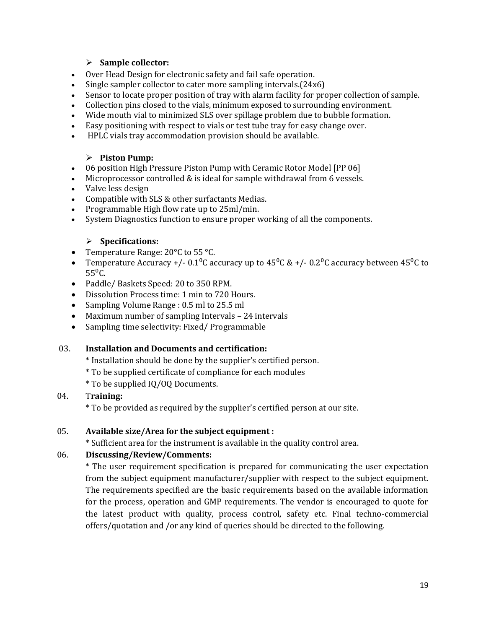#### ➢ **Sample collector:**

- Over Head Design for electronic safety and fail safe operation.
- Single sampler collector to cater more sampling intervals.(24x6)
- Sensor to locate proper position of tray with alarm facility for proper collection of sample.
- Collection pins closed to the vials, minimum exposed to surrounding environment.
- Wide mouth vial to minimized SLS over spillage problem due to bubble formation.
- Easy positioning with respect to vials or test tube tray for easy change over.
- HPLC vials tray accommodation provision should be available.

#### ➢ **Piston Pump:**

- 06 position High Pressure Piston Pump with Ceramic Rotor Model [PP 06]
- Microprocessor controlled & is ideal for sample withdrawal from 6 vessels.
- Valve less design
- Compatible with SLS & other surfactants Medias.
- Programmable High flow rate up to 25ml/min.
- System Diagnostics function to ensure proper working of all the components.

#### ➢ **Specifications:**

- Temperature Range: 20°C to 55 °C.
- Temperature Accuracy +/-  $0.1^{0}$ C accuracy up to  $45^{0}$ C & +/-  $0.2^{0}$ C accuracy between  $45^{0}$ C to  $55^{\circ}$ C.
- Paddle/ Baskets Speed: 20 to 350 RPM.
- Dissolution Process time: 1 min to 720 Hours.
- Sampling Volume Range : 0.5 ml to 25.5 ml
- Maximum number of sampling Intervals 24 intervals
- Sampling time selectivity: Fixed/ Programmable

#### 03. **Installation and Documents and certification:**

- \* Installation should be done by the supplier's certified person.
- \* To be supplied certificate of compliance for each modules
- \* To be supplied IQ/OQ Documents.

#### 04. T**raining:**

\* To be provided as required by the supplier's certified person at our site.

#### 05. **Available size/Area for the subject equipment :**

\* Sufficient area for the instrument is available in the quality control area.

#### 06. **Discussing/Review/Comments:**

\* The user requirement specification is prepared for communicating the user expectation from the subject equipment manufacturer/supplier with respect to the subject equipment. The requirements specified are the basic requirements based on the available information for the process, operation and GMP requirements. The vendor is encouraged to quote for the latest product with quality, process control, safety etc. Final techno-commercial offers/quotation and /or any kind of queries should be directed to the following.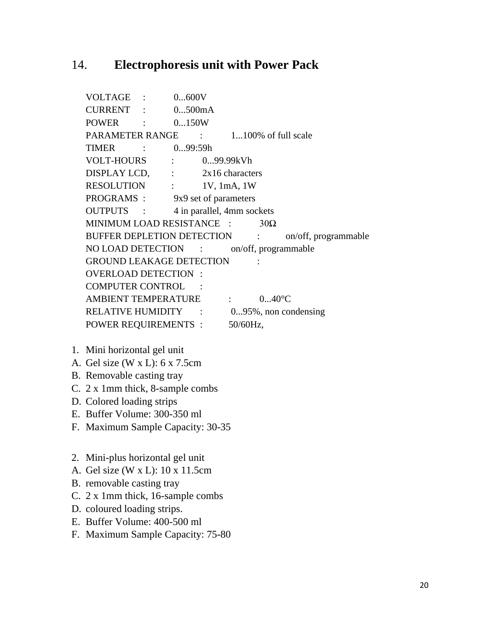### 14. **Electrophoresis unit with Power Pack**

VOLTAGE : 0...600V CURRENT : 0...500mA POWER : 0...150W PARAMETER RANGE : 1...100% of full scale TIMER : 0...99:59h VOLT-HOURS : 0...99.99kVh DISPLAY LCD, : 2x16 characters RESOLUTION : 1V, 1mA, 1W PROGRAMS : 9x9 set of parameters OUTPUTS : 4 in parallel, 4mm sockets MINIMUM LOAD RESISTANCE :  $30\Omega$ BUFFER DEPLETION DETECTION : on/off, programmable NO LOAD DETECTION : on/off, programmable GROUND LEAKAGE DETECTION : OVERLOAD DETECTION : COMPUTER CONTROL AMBIENT TEMPERATURE : 0...40°C RELATIVE HUMIDITY : 0...95%, non condensing POWER REQUIREMENTS : 50/60Hz, 1. Mini horizontal gel unit A. Gel size (W x L): 6 x 7.5cm

- B. Removable casting tray
- C. 2 x 1mm thick, 8-sample combs
- D. Colored loading strips
- E. Buffer Volume: 300-350 ml
- F. Maximum Sample Capacity: 30-35
- 2. Mini-plus horizontal gel unit
- A. Gel size (W x L): 10 x 11.5cm
- B. removable casting tray
- C. 2 x 1mm thick, 16-sample combs
- D. coloured loading strips.
- E. Buffer Volume: 400-500 ml
- F. Maximum Sample Capacity: 75-80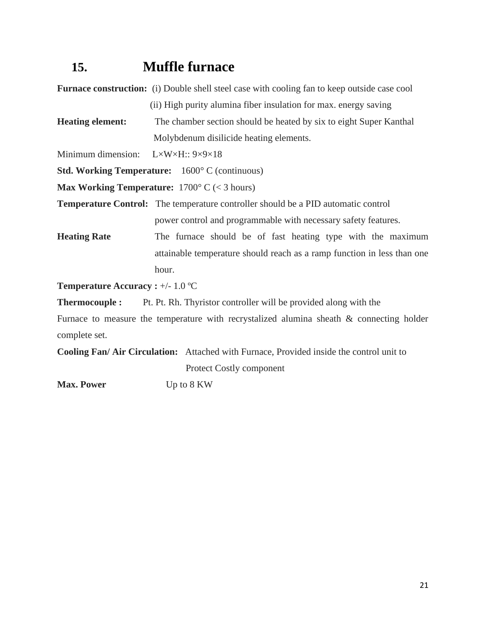# **15. Muffle furnace**

**Furnace construction:** (i) Double shell steel case with cooling fan to keep outside case cool (ii) High purity alumina fiber insulation for max. energy saving **Heating element:** The chamber section should be heated by six to eight Super Kanthal Molybdenum disilicide heating elements. Minimum dimension:  $L \times W \times H$ ::  $9 \times 9 \times 18$ **Std. Working Temperature:** 1600° C (continuous)

**Max Working Temperature:** 1700° C (< 3 hours)

**Temperature Control:** The temperature controller should be a PID automatic control power control and programmable with necessary safety features.

**Heating Rate** The furnace should be of fast heating type with the maximum attainable temperature should reach as a ramp function in less than one hour.

**Temperature Accuracy :** +/- 1.0 ºC

**Thermocouple :** Pt. Pt. Rh. Thyristor controller will be provided along with the

Furnace to measure the temperature with recrystalized alumina sheath & connecting holder complete set.

**Cooling Fan/ Air Circulation:** Attached with Furnace, Provided inside the control unit to Protect Costly component

**Max. Power** Up to 8 KW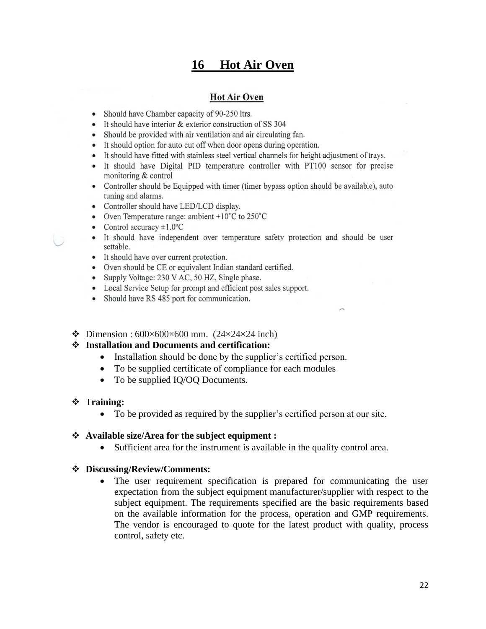## **16 Hot Air Oven**

#### **Hot Air Oven**

- Should have Chamber capacity of 90-250 ltrs.
- It should have interior & exterior construction of SS 304
- Should be provided with air ventilation and air circulating fan.
- It should option for auto cut off when door opens during operation.
- It should have fitted with stainless steel vertical channels for height adjustment of trays.
- It should have Digital PID temperature controller with PT100 sensor for precise monitoring & control
- Controller should be Equipped with timer (timer bypass option should be available), auto tuning and alarms.
- Controller should have LED/LCD display.
- Oven Temperature range: ambient  $+10^{\circ}$ C to 250 $^{\circ}$ C
- Control accuracy  $\pm 1.0$ °C
- It should have independent over temperature safety protection and should be user settable.
- It should have over current protection.
- Oven should be CE or equivalent Indian standard certified.
- Supply Voltage: 230 V AC, 50 HZ, Single phase.
- Local Service Setup for prompt and efficient post sales support.
- Should have RS 485 port for communication.
- ❖ Dimension : 600×600×600 mm. (24×24×24 inch)

#### ❖ **Installation and Documents and certification:**

- Installation should be done by the supplier's certified person.
- To be supplied certificate of compliance for each modules
- To be supplied IQ/OQ Documents.

#### ❖ T**raining:**

• To be provided as required by the supplier's certified person at our site.

#### ❖ **Available size/Area for the subject equipment :**

• Sufficient area for the instrument is available in the quality control area.

#### ❖ **Discussing/Review/Comments:**

• The user requirement specification is prepared for communicating the user expectation from the subject equipment manufacturer/supplier with respect to the subject equipment. The requirements specified are the basic requirements based on the available information for the process, operation and GMP requirements. The vendor is encouraged to quote for the latest product with quality, process control, safety etc.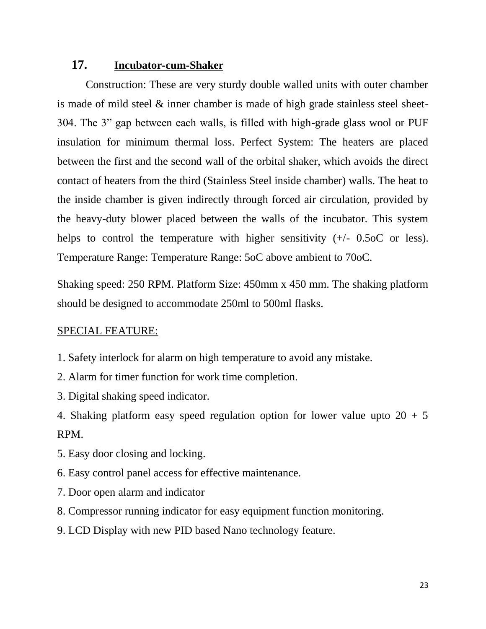### **17. Incubator-cum-Shaker**

Construction: These are very sturdy double walled units with outer chamber is made of mild steel & inner chamber is made of high grade stainless steel sheet-304. The 3" gap between each walls, is filled with high-grade glass wool or PUF insulation for minimum thermal loss. Perfect System: The heaters are placed between the first and the second wall of the orbital shaker, which avoids the direct contact of heaters from the third (Stainless Steel inside chamber) walls. The heat to the inside chamber is given indirectly through forced air circulation, provided by the heavy-duty blower placed between the walls of the incubator. This system helps to control the temperature with higher sensitivity  $(+/- 0.5$  or less). Temperature Range: Temperature Range: 5oC above ambient to 70oC.

Shaking speed: 250 RPM. Platform Size: 450mm x 450 mm. The shaking platform should be designed to accommodate 250ml to 500ml flasks.

### SPECIAL FEATURE:

- 1. Safety interlock for alarm on high temperature to avoid any mistake.
- 2. Alarm for timer function for work time completion.
- 3. Digital shaking speed indicator.

4. Shaking platform easy speed regulation option for lower value upto  $20 + 5$ RPM.

- 5. Easy door closing and locking.
- 6. Easy control panel access for effective maintenance.
- 7. Door open alarm and indicator
- 8. Compressor running indicator for easy equipment function monitoring.
- 9. LCD Display with new PID based Nano technology feature.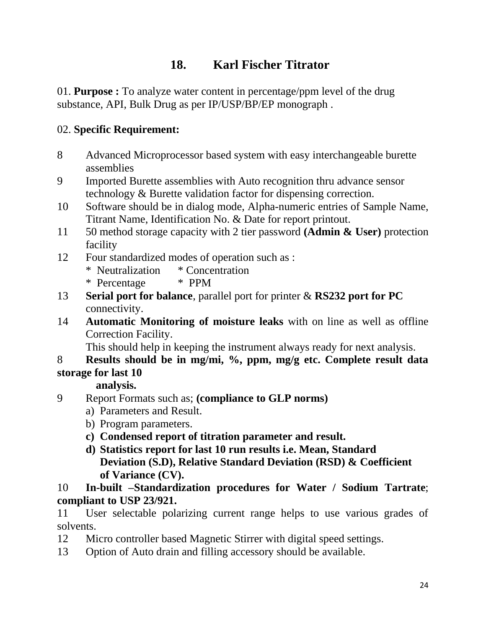# **18. Karl Fischer Titrator**

01. **Purpose :** To analyze water content in percentage/ppm level of the drug substance, API, Bulk Drug as per IP/USP/BP/EP monograph .

### 02. **Specific Requirement:**

- 8 Advanced Microprocessor based system with easy interchangeable burette assemblies
- 9 Imported Burette assemblies with Auto recognition thru advance sensor technology & Burette validation factor for dispensing correction.
- 10 Software should be in dialog mode, Alpha-numeric entries of Sample Name, Titrant Name, Identification No. & Date for report printout.
- 11 50 method storage capacity with 2 tier password **(Admin & User)** protection facility
- 12 Four standardized modes of operation such as :
	- \* Neutralization \* Concentration
	- \* Percentage \* PPM
- 13 **Serial port for balance**, parallel port for printer & **RS232 port for PC**  connectivity.
- 14 **Automatic Monitoring of moisture leaks** with on line as well as offline Correction Facility.

This should help in keeping the instrument always ready for next analysis.

### 8 **Results should be in mg/mi, %, ppm, mg/g etc. Complete result data storage for last 10**

 **analysis.**

- 9 Report Formats such as; **(compliance to GLP norms)** 
	- a) Parameters and Result.
	- b) Program parameters.
	- **c) Condensed report of titration parameter and result.**
	- **d) Statistics report for last 10 run results i.e. Mean, Standard Deviation (S.D), Relative Standard Deviation (RSD) & Coefficient of Variance (CV).**

### 10 **In-built –Standardization procedures for Water / Sodium Tartrate**; **compliant to USP 23/921.**

11 User selectable polarizing current range helps to use various grades of solvents.

- 12 Micro controller based Magnetic Stirrer with digital speed settings.
- 13 Option of Auto drain and filling accessory should be available.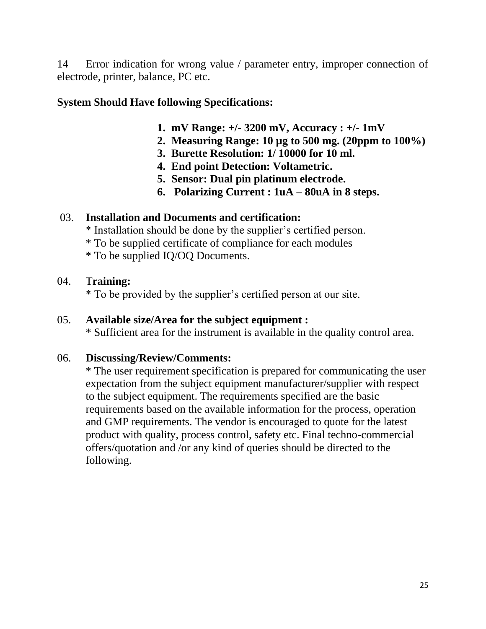14 Error indication for wrong value / parameter entry, improper connection of electrode, printer, balance, PC etc.

### **System Should Have following Specifications:**

- **1. mV Range: +/- 3200 mV, Accuracy : +/- 1mV**
- **2. Measuring Range: 10 µg to 500 mg. (20ppm to 100%)**
- **3. Burette Resolution: 1/ 10000 for 10 ml.**
- **4. End point Detection: Voltametric.**
- **5. Sensor: Dual pin platinum electrode.**
- **6. Polarizing Current : 1uA – 80uA in 8 steps.**

### 03. **Installation and Documents and certification:**

\* Installation should be done by the supplier's certified person.

- \* To be supplied certificate of compliance for each modules
- \* To be supplied IQ/OQ Documents.

### 04. T**raining:**

\* To be provided by the supplier's certified person at our site.

### 05. **Available size/Area for the subject equipment :**

\* Sufficient area for the instrument is available in the quality control area.

### 06. **Discussing/Review/Comments:**

\* The user requirement specification is prepared for communicating the user expectation from the subject equipment manufacturer/supplier with respect to the subject equipment. The requirements specified are the basic requirements based on the available information for the process, operation and GMP requirements. The vendor is encouraged to quote for the latest product with quality, process control, safety etc. Final techno-commercial offers/quotation and /or any kind of queries should be directed to the following.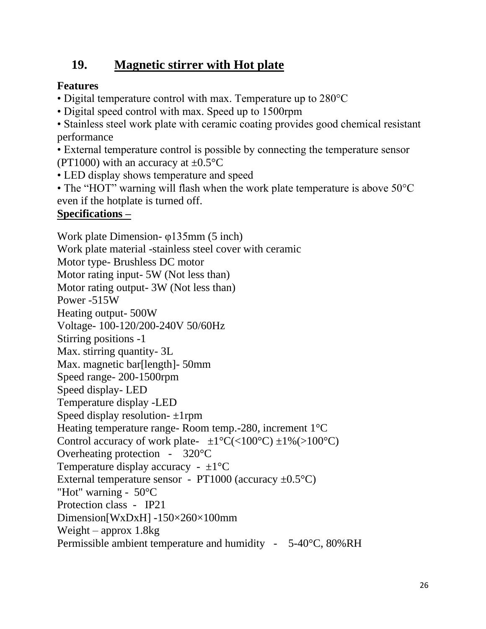# **19. Magnetic stirrer with Hot plate**

## **Features**

- Digital temperature control with max. Temperature up to 280 °C
- Digital speed control with max. Speed up to 1500rpm

• Stainless steel work plate with ceramic coating provides good chemical resistant performance

• External temperature control is possible by connecting the temperature sensor (PT1000) with an accuracy at  $\pm 0.5^{\circ}$ C

• LED display shows temperature and speed

• The "HOT" warning will flash when the work plate temperature is above 50°C even if the hotplate is turned off.

## **Specifications –**

Work plate Dimension- φ135mm (5 inch) Work plate material -stainless steel cover with ceramic Motor type- Brushless DC motor Motor rating input- 5W (Not less than) Motor rating output- 3W (Not less than) Power -515W Heating output- 500W Voltage- 100-120/200-240V 50/60Hz Stirring positions -1 Max. stirring quantity- 3L Max. magnetic bar[length]- 50mm Speed range- 200-1500rpm Speed display- LED Temperature display -LED Speed display resolution- ±1rpm Heating temperature range- Room temp.-280, increment 1°C Control accuracy of work plate-  $\pm 1^{\circ}C(<100^{\circ}C) \pm 1\%$  (>100°C) Overheating protection - 320°C Temperature display accuracy -  $\pm 1$ <sup>o</sup>C External temperature sensor - PT1000 (accuracy  $\pm 0.5^{\circ}$ C) "Hot" warning - 50°C Protection class - IP21 Dimension[WxDxH] -150×260×100mm Weight – approx  $1.8kg$ Permissible ambient temperature and humidity - 5-40°C, 80%RH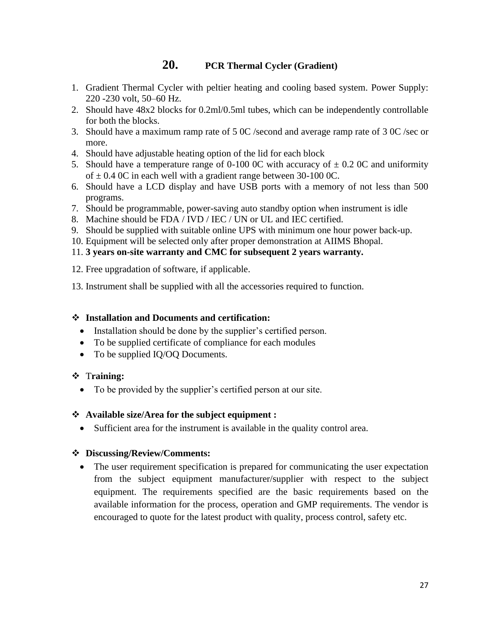### **20. PCR Thermal Cycler (Gradient)**

- 1. Gradient Thermal Cycler with peltier heating and cooling based system. Power Supply: 220 -230 volt, 50–60 Hz.
- 2. Should have 48x2 blocks for 0.2ml/0.5ml tubes, which can be independently controllable for both the blocks.
- 3. Should have a maximum ramp rate of 5 0C /second and average ramp rate of 3 0C /sec or more.
- 4. Should have adjustable heating option of the lid for each block
- 5. Should have a temperature range of 0-100 0C with accuracy of  $\pm$  0.2 0C and uniformity of  $\pm$  0.4 0C in each well with a gradient range between 30-100 0C.
- 6. Should have a LCD display and have USB ports with a memory of not less than 500 programs.
- 7. Should be programmable, power-saving auto standby option when instrument is idle
- 8. Machine should be FDA / IVD / IEC / UN or UL and IEC certified.
- 9. Should be supplied with suitable online UPS with minimum one hour power back-up.
- 10. Equipment will be selected only after proper demonstration at AIIMS Bhopal.
- 11. **3 years on-site warranty and CMC for subsequent 2 years warranty.**
- 12. Free upgradation of software, if applicable.
- 13. Instrument shall be supplied with all the accessories required to function.

#### ❖ **Installation and Documents and certification:**

- Installation should be done by the supplier's certified person.
- To be supplied certificate of compliance for each modules
- To be supplied IQ/OQ Documents.

#### ❖ T**raining:**

• To be provided by the supplier's certified person at our site.

#### ❖ **Available size/Area for the subject equipment :**

• Sufficient area for the instrument is available in the quality control area.

#### ❖ **Discussing/Review/Comments:**

• The user requirement specification is prepared for communicating the user expectation from the subject equipment manufacturer/supplier with respect to the subject equipment. The requirements specified are the basic requirements based on the available information for the process, operation and GMP requirements. The vendor is encouraged to quote for the latest product with quality, process control, safety etc.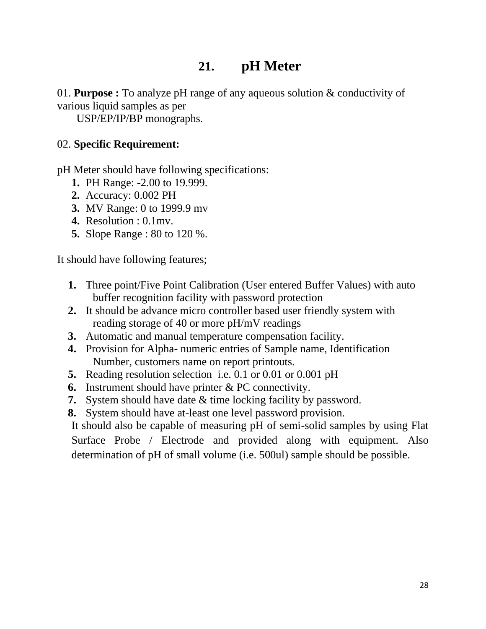# **21. pH Meter**

01. **Purpose :** To analyze pH range of any aqueous solution & conductivity of various liquid samples as per

USP/EP/IP/BP monographs.

### 02. **Specific Requirement:**

pH Meter should have following specifications:

- **1.** PH Range: -2.00 to 19.999.
- **2.** Accuracy: 0.002 PH
- **3.** MV Range: 0 to 1999.9 mv
- **4.** Resolution : 0.1mv.
- **5.** Slope Range : 80 to 120 %.

It should have following features;

- **1.** Three point/Five Point Calibration (User entered Buffer Values) with auto buffer recognition facility with password protection
- **2.** It should be advance micro controller based user friendly system with reading storage of 40 or more pH/mV readings
- **3.** Automatic and manual temperature compensation facility.
- **4.** Provision for Alpha- numeric entries of Sample name, Identification Number, customers name on report printouts.
- **5.** Reading resolution selection i.e. 0.1 or 0.01 or 0.001 pH
- **6.** Instrument should have printer & PC connectivity.
- **7.** System should have date & time locking facility by password.
- **8.** System should have at-least one level password provision.

It should also be capable of measuring pH of semi-solid samples by using Flat Surface Probe / Electrode and provided along with equipment. Also determination of pH of small volume (i.e. 500ul) sample should be possible.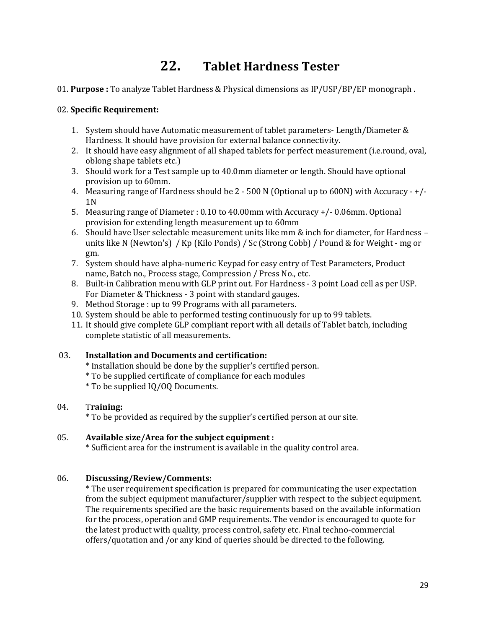# **22. Tablet Hardness Tester**

01. **Purpose :** To analyze Tablet Hardness & Physical dimensions as IP/USP/BP/EP monograph .

#### 02. **Specific Requirement:**

- 1. System should have Automatic measurement of tablet parameters- Length/Diameter & Hardness. It should have provision for external balance connectivity.
- 2. It should have easy alignment of all shaped tablets for perfect measurement (i.e.round, oval, oblong shape tablets etc.)
- 3. Should work for a Test sample up to 40.0mm diameter or length. Should have optional provision up to 60mm.
- 4. Measuring range of Hardness should be 2 500 N (Optional up to 600N) with Accuracy +/- 1N
- 5. Measuring range of Diameter : 0.10 to 40.00mm with Accuracy +/- 0.06mm. Optional provision for extending length measurement up to 60mm
- 6. Should have User selectable measurement units like mm & inch for diameter, for Hardness units like N (Newton's) / Kp (Kilo Ponds) / Sc (Strong Cobb) / Pound & for Weight - mg or gm.
- 7. System should have alpha-numeric Keypad for easy entry of Test Parameters, Product name, Batch no., Process stage, Compression / Press No., etc.
- 8. Built-in Calibration menu with GLP print out. For Hardness 3 point Load cell as per USP. For Diameter & Thickness - 3 point with standard gauges.
- 9. Method Storage : up to 99 Programs with all parameters.
- 10. System should be able to performed testing continuously for up to 99 tablets.
- 11. It should give complete GLP compliant report with all details of Tablet batch, including complete statistic of all measurements.

#### 03. **Installation and Documents and certification:**

- \* Installation should be done by the supplier's certified person.
- \* To be supplied certificate of compliance for each modules
- \* To be supplied IQ/OQ Documents.

#### 04. T**raining:**

\* To be provided as required by the supplier's certified person at our site.

#### 05. **Available size/Area for the subject equipment :**

\* Sufficient area for the instrument is available in the quality control area.

#### 06. **Discussing/Review/Comments:**

\* The user requirement specification is prepared for communicating the user expectation from the subject equipment manufacturer/supplier with respect to the subject equipment. The requirements specified are the basic requirements based on the available information for the process, operation and GMP requirements. The vendor is encouraged to quote for the latest product with quality, process control, safety etc. Final techno-commercial offers/quotation and /or any kind of queries should be directed to the following.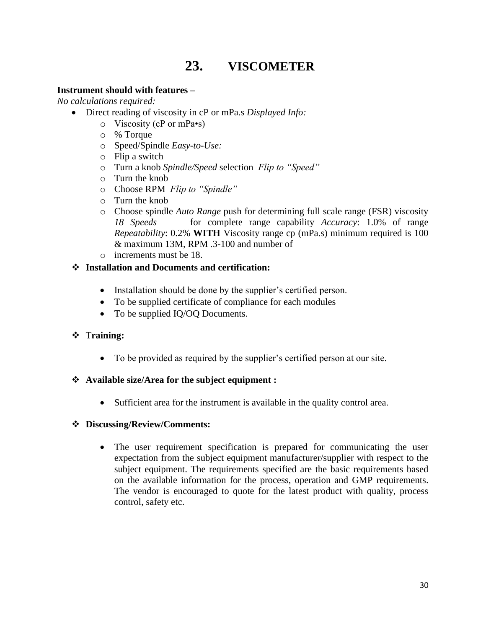# **23. VISCOMETER**

#### **Instrument should with features –**

*No calculations required:*

- Direct reading of viscosity in cP or mPa.s *Displayed Info:*
	- o Viscosity (cP or mPa•s)
	- o % Torque
	- o Speed/Spindle *Easy-to-Use:*
	- o Flip a switch
	- o Turn a knob *Spindle/Speed* selection *Flip to "Speed"*
	- o Turn the knob
	- o Choose RPM *Flip to "Spindle"*
	- o Turn the knob
	- o Choose spindle *Auto Range* push for determining full scale range (FSR) viscosity *18 Speeds* for complete range capability *Accuracy*: 1.0% of range *Repeatability*: 0.2% **WITH** Viscosity range cp (mPa.s) minimum required is 100 & maximum 13M, RPM .3-100 and number of
	- o increments must be 18.

#### ❖ **Installation and Documents and certification:**

- Installation should be done by the supplier's certified person.
- To be supplied certificate of compliance for each modules
- To be supplied IQ/OQ Documents.

#### ❖ T**raining:**

• To be provided as required by the supplier's certified person at our site.

#### ❖ **Available size/Area for the subject equipment :**

• Sufficient area for the instrument is available in the quality control area.

#### ❖ **Discussing/Review/Comments:**

• The user requirement specification is prepared for communicating the user expectation from the subject equipment manufacturer/supplier with respect to the subject equipment. The requirements specified are the basic requirements based on the available information for the process, operation and GMP requirements. The vendor is encouraged to quote for the latest product with quality, process control, safety etc.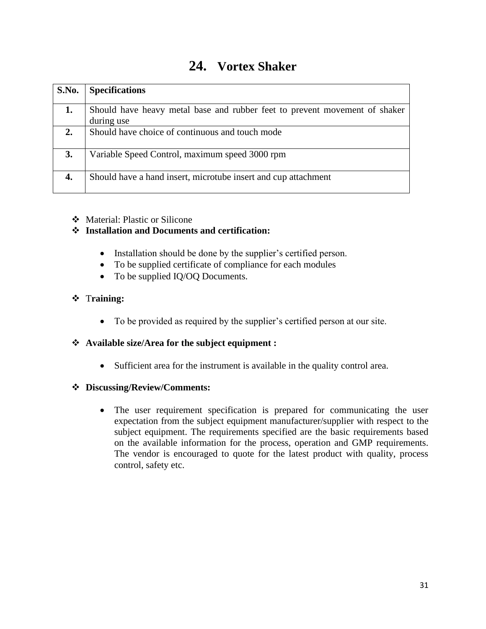| 24. | <b>Vortex Shaker</b> |
|-----|----------------------|
|-----|----------------------|

| <b>S.No.</b> | <b>Specifications</b>                                                      |
|--------------|----------------------------------------------------------------------------|
|              |                                                                            |
| 1.           | Should have heavy metal base and rubber feet to prevent movement of shaker |
|              | during use                                                                 |
| 2.           | Should have choice of continuous and touch mode                            |
| <b>3.</b>    | Variable Speed Control, maximum speed 3000 rpm                             |
| 4.           | Should have a hand insert, microtube insert and cup attachment             |

#### ❖ Material: Plastic or Silicone

#### ❖ **Installation and Documents and certification:**

- Installation should be done by the supplier's certified person.
- To be supplied certificate of compliance for each modules
- To be supplied IQ/OQ Documents.

#### ❖ T**raining:**

• To be provided as required by the supplier's certified person at our site.

#### ❖ **Available size/Area for the subject equipment :**

• Sufficient area for the instrument is available in the quality control area.

#### ❖ **Discussing/Review/Comments:**

• The user requirement specification is prepared for communicating the user expectation from the subject equipment manufacturer/supplier with respect to the subject equipment. The requirements specified are the basic requirements based on the available information for the process, operation and GMP requirements. The vendor is encouraged to quote for the latest product with quality, process control, safety etc.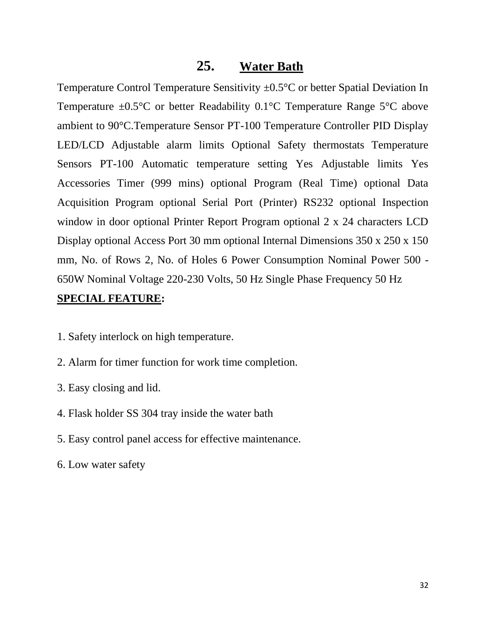### **25. Water Bath**

Temperature Control Temperature Sensitivity ±0.5°C or better Spatial Deviation In Temperature  $\pm 0.5^{\circ}$ C or better Readability 0.1°C Temperature Range 5°C above ambient to 90°C.Temperature Sensor PT-100 Temperature Controller PID Display LED/LCD Adjustable alarm limits Optional Safety thermostats Temperature Sensors PT-100 Automatic temperature setting Yes Adjustable limits Yes Accessories Timer (999 mins) optional Program (Real Time) optional Data Acquisition Program optional Serial Port (Printer) RS232 optional Inspection window in door optional Printer Report Program optional 2 x 24 characters LCD Display optional Access Port 30 mm optional Internal Dimensions 350 x 250 x 150 mm, No. of Rows 2, No. of Holes 6 Power Consumption Nominal Power 500 - 650W Nominal Voltage 220-230 Volts, 50 Hz Single Phase Frequency 50 Hz

#### **SPECIAL FEATURE:**

- 1. Safety interlock on high temperature.
- 2. Alarm for timer function for work time completion.
- 3. Easy closing and lid.
- 4. Flask holder SS 304 tray inside the water bath
- 5. Easy control panel access for effective maintenance.
- 6. Low water safety